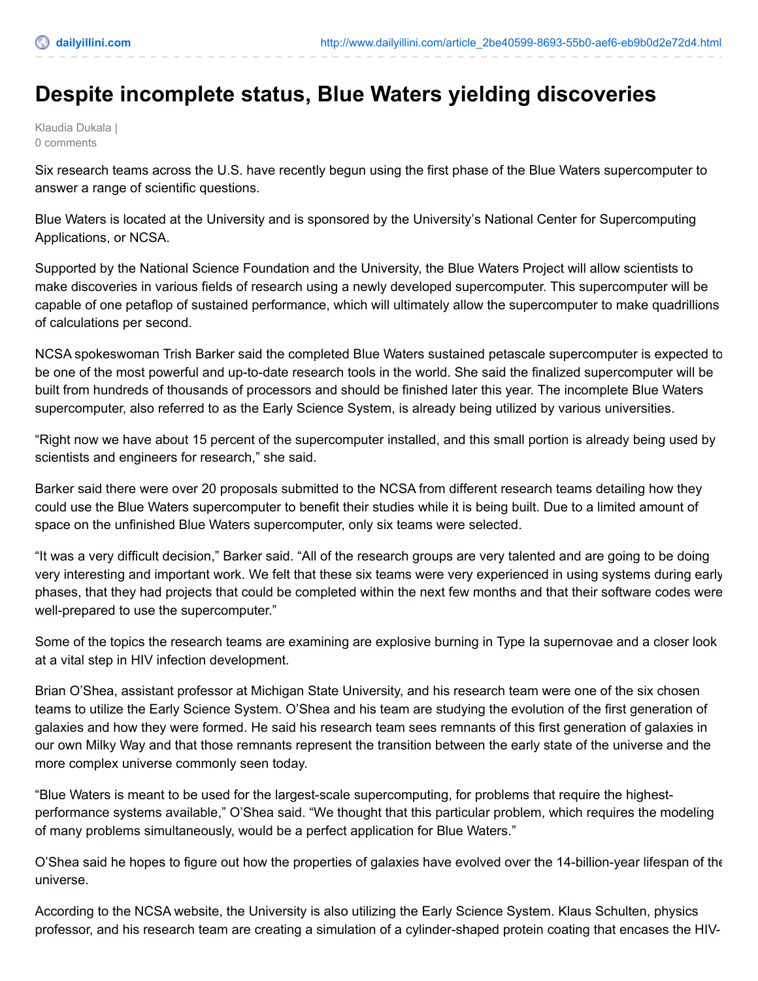## **Despite incomplete status, Blue Waters yielding discoveries**

Klaudia Dukala | 0 comments

Six research teams across the U.S. have recently begun using the first phase of the Blue Waters supercomputer to answer a range of scientific questions.

Blue Waters is located at the University and is sponsored by the University's National Center for Supercomputing Applications, or NCSA.

Supported by the National Science Foundation and the University, the Blue Waters Project will allow scientists to make discoveries in various fields of research using a newly developed supercomputer. This supercomputer will be capable of one petaflop of sustained performance, which will ultimately allow the supercomputer to make quadrillions of calculations per second.

NCSA spokeswoman Trish Barker said the completed Blue Waters sustained petascale supercomputer is expected to be one of the most powerful and up-to-date research tools in the world. She said the finalized supercomputer will be built from hundreds of thousands of processors and should be finished later this year. The incomplete Blue Waters supercomputer, also referred to as the Early Science System, is already being utilized by various universities.

"Right now we have about 15 percent of the supercomputer installed, and this small portion is already being used by scientists and engineers for research," she said.

Barker said there were over 20 proposals submitted to the NCSA from different research teams detailing how they could use the Blue Waters supercomputer to benefit their studies while it is being built. Due to a limited amount of space on the unfinished Blue Waters supercomputer, only six teams were selected.

"It was a very difficult decision," Barker said. "All of the research groups are very talented and are going to be doing very interesting and important work. We felt that these six teams were very experienced in using systems during early phases, that they had projects that could be completed within the next few months and that their software codes were well-prepared to use the supercomputer."

Some of the topics the research teams are examining are explosive burning in Type Ia supernovae and a closer look at a vital step in HIV infection development.

Brian O'Shea, assistant professor at Michigan State University, and his research team were one of the six chosen teams to utilize the Early Science System. O'Shea and his team are studying the evolution of the first generation of galaxies and how they were formed. He said his research team sees remnants of this first generation of galaxies in our own Milky Way and that those remnants represent the transition between the early state of the universe and the more complex universe commonly seen today.

"Blue Waters is meant to be used for the largest-scale supercomputing, for problems that require the highestperformance systems available," O'Shea said. "We thought that this particular problem, which requires the modeling of many problems simultaneously, would be a perfect application for Blue Waters."

O'Shea said he hopes to figure out how the properties of galaxies have evolved over the 14-billion-year lifespan of the universe.

According to the NCSA website, the University is also utilizing the Early Science System. Klaus Schulten, physics professor, and his research team are creating a simulation of a cylinder-shaped protein coating that encases the HIV-